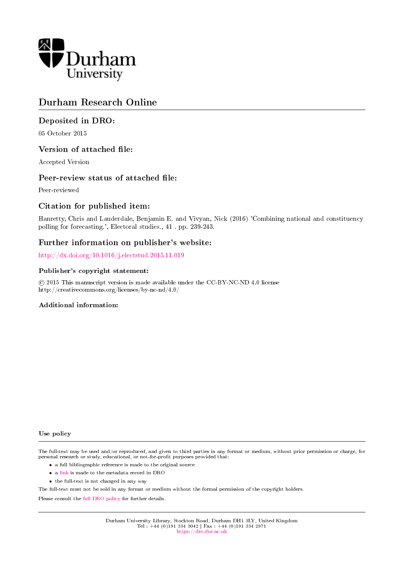

# Durham Research Online

## Deposited in DRO:

05 October 2015

## Version of attached file:

Accepted Version

## Peer-review status of attached file:

Peer-reviewed

## Citation for published item:

Hanretty, Chris and Lauderdale, Benjamin E. and Vivyan, Nick (2016) 'Combining national and constituency polling for forecasting.', Electoral studies., 41 . pp. 239-243.

## Further information on publisher's website:

<http://dx.doi.org/10.1016/j.electstud.2015.11.019>

### Publisher's copyright statement:

 c 2015 This manuscript version is made available under the CC-BY-NC-ND 4.0 license http://creativecommons.org/licenses/by-nc-nd/4.0/

### Additional information:

Use policy

The full-text may be used and/or reproduced, and given to third parties in any format or medium, without prior permission or charge, for personal research or study, educational, or not-for-profit purposes provided that:

- a full bibliographic reference is made to the original source
- a [link](http://dro.dur.ac.uk/16506/) is made to the metadata record in DRO
- the full-text is not changed in any way

The full-text must not be sold in any format or medium without the formal permission of the copyright holders.

Please consult the [full DRO policy](https://dro.dur.ac.uk/policies/usepolicy.pdf) for further details.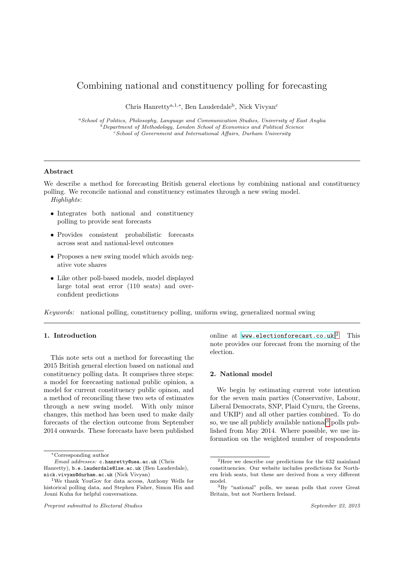## Combining national and constituency polling for forecasting

Chris Hanretty<sup>a,1,∗</sup>, Ben Lauderdale<sup>b</sup>, Nick Vivyan<sup>c</sup>

<sup>a</sup>School of Politics, Philosophy, Language and Communication Studies, University of East Anglia <sup>b</sup>Department of Methodology, London School of Economics and Political Science  $c$ School of Government and International Affairs, Durham University

#### Abstract

We describe a method for forecasting British general elections by combining national and constituency polling. We reconcile national and constituency estimates through a new swing model. Highlights:

- Integrates both national and constituency polling to provide seat forecasts
- Provides consistent probabilistic forecasts across seat and national-level outcomes
- Proposes a new swing model which avoids negative vote shares
- Like other poll-based models, model displayed large total seat error (110 seats) and overconfident predictions

Keywords: national polling, constituency polling, uniform swing, generalized normal swing

### 1. Introduction

This note sets out a method for forecasting the 2015 British general election based on national and constituency polling data. It comprises three steps: a model for forecasting national public opinion, a model for current constituency public opinon, and a method of reconciling these two sets of estimates through a new swing model. With only minor changes, this method has been used to make daily forecasts of the election outcome from September 2014 onwards. These forecasts have been published

Preprint submitted to Electoral Studies September 23, 2015

online at <www.electionforecast.co.uk>.<sup>[2](#page-1-0)</sup> This note provides our forecast from the morning of the election.

#### 2. National model

We begin by estimating current vote intention for the seven main parties (Conservative, Labour, Liberal Democrats, SNP, Plaid Cymru, the Greens, and UKIP) and all other parties combined. To do so, we use all publicly available national<sup>[3](#page-1-1)</sup> polls published from May 2014. Where possible, we use information on the weighted number of respondents

<sup>∗</sup>Corresponding author

Email addresses: c.hanretty@uea.ac.uk (Chris Hanretty), b.e.lauderdale@lse.ac.uk (Ben Lauderdale), nick.vivyan@durham.ac.uk (Nick Vivyan)

<sup>1</sup>We thank YouGov for data access, Anthony Wells for historical polling data, and Stephen Fisher, Simon Hix and Jouni Kuha for helpful conversations.

<span id="page-1-0"></span><sup>2</sup>Here we describe our predictions for the 632 mainland constituencies. Our website includes predictions for Northern Irish seats, but these are derived from a very different model.

<span id="page-1-1"></span><sup>3</sup>By "national" polls, we mean polls that cover Great Britain, but not Northern Ireland.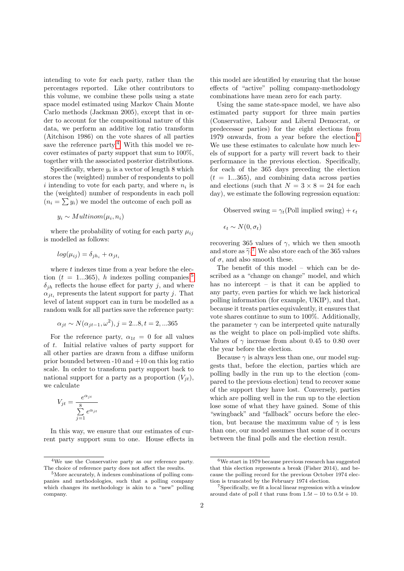intending to vote for each party, rather than the percentages reported. Like other contributors to this volume, we combine these polls using a state space model estimated using Markov Chain Monte Carlo methods (Jackman 2005), except that in order to account for the compositional nature of this data, we perform an additive log ratio transform (Aitchison 1986) on the vote shares of all parties save the reference party.<sup>[4](#page-2-0)</sup> With this model we recover estimates of party support that sum to 100%, together with the associated posterior distributions.

Specifically, where  $y_i$  is a vector of length 8 which stores the (weighted) number of respondents to poll i intending to vote for each party, and where  $n_i$  is the (weighted) number of respondents in each poll  $(n_i = \sum y_i)$  we model the outcome of each poll as

$$
y_i \sim Multinom(\mu_i, n_i)
$$

where the probability of voting for each party  $\mu_{ij}$ is modelled as follows:

$$
log(\mu_{ij}) = \delta_{jh_i} + \alpha_{jt_i}
$$

where  $t$  indexes time from a year before the election ( $t = 1...365$  $t = 1...365$ ), h indexes polling companies,<sup>5</sup>  $\delta_{ih}$  reflects the house effect for party j, and where  $\alpha_{jt_i}$  represents the latent support for party j. That level of latent support can in turn be modelled as a random walk for all parties save the reference party:

$$
\alpha_{jt} \sim N(\alpha_{jt-1}, \omega^2), j = 2...8, t = 2,...365
$$

For the reference party,  $\alpha_{1t} = 0$  for all values of t. Initial relative values of party support for all other parties are drawn from a diffuse uniform prior bounded between -10 and +10 on this log ratio scale. In order to transform party support back to national support for a party as a proportion  $(V_{jt})$ , we calculate

$$
V_{jt} = \frac{e^{\alpha_{jt}}}{\sum_{j=1}^{8} e^{\alpha_{jt}}}
$$

In this way, we ensure that our estimates of current party support sum to one. House effects in this model are identified by ensuring that the house effects of "active" polling company-methodology combinations have mean zero for each party.

Using the same state-space model, we have also estimated party support for three main parties (Conservative, Labour and Liberal Democrat, or predecessor parties) for the eight elections from 1979 onwards, from a year before the election.[6](#page-2-2) We use these estimates to calculate how much levels of support for a party will revert back to their performance in the previous election. Specifically, for each of the 365 days preceding the election  $(t = 1...365)$ , and combining data across parties and elections (such that  $N = 3 \times 8 = 24$  for each day), we estimate the following regression equation:

Observed swing =  $\gamma_t$ (Poll implied swing) +  $\epsilon_t$ 

$$
\epsilon_t \sim N(0, \sigma_t)
$$

recovering 365 values of  $\gamma$ , which we then smooth and store as  $\tilde{\gamma}$ .<sup>[7](#page-2-3)</sup> We also store each of the 365 values of  $\sigma$ , and also smooth these of  $\sigma$ , and also smooth these.

The benefit of this model – which can be described as a "change on change" model, and which has no intercept – is that it can be applied to any party, even parties for which we lack historical polling information (for example, UKIP), and that, because it treats parties equivalently, it ensures that vote shares continue to sum to 100%. Additionally, the parameter  $\gamma$  can be interpreted quite naturally as the weight to place on poll-implied vote shifts. Values of  $\gamma$  increase from about 0.45 to 0.80 over the year before the election.

Because  $\gamma$  is always less than one, our model suggests that, before the election, parties which are polling badly in the run up to the election (compared to the previous election) tend to recover some of the support they have lost. Conversely, parties which are polling well in the run up to the election lose some of what they have gained. Some of this "swingback" and "fallback" occurs before the election, but because the maximum value of  $\gamma$  is less than one, our model assumes that some of it occurs between the final polls and the election result.

<span id="page-2-0"></span><sup>4</sup>We use the Conservative party as our reference party. The choice of reference party does not affect the results.

<span id="page-2-1"></span> $5$ More accurately, h indexes combinations of polling companies and methodologies, such that a polling company which changes its methodology is akin to a "new" polling company.

<span id="page-2-2"></span> $^6\rm{We}$  start in 1979 because previous research has suggested that this election represents a break (Fisher 2014), and because the polling record for the previous October 1974 election is truncated by the February 1974 election.

<span id="page-2-3"></span><sup>7</sup>Specifically, we fit a local linear regression with a window around date of poll t that runs from  $1.5t - 10$  to  $0.5t + 10$ .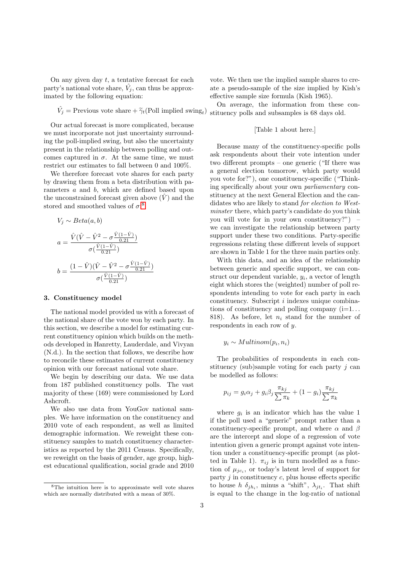On any given day  $t$ , a tentative forecast for each party's national vote share,  $\hat{V}_j$ , can thus be approximated by the following equation:

$$
\hat{V}_j = \text{Previous vote share} + \tilde{\gamma}_t(\text{Poll implied swing}_t)
$$

Our actual forecast is more complicated, because we must incorporate not just uncertainty surrounding the poll-implied swing, but also the uncertainty present in the relationship between polling and outcomes captured in  $\sigma$ . At the same time, we must restrict our estimates to fall between 0 and 100%.

We therefore forecast vote shares for each party by drawing them from a beta distribution with parameters a and b, which are defined based upon the unconstrained forecast given above  $(\hat{V})$  and the stored and smoothed values of  $\sigma$ :<sup>[8](#page-3-0)</sup>

$$
V_j \sim Beta(a, b)
$$
  
\n
$$
a = \frac{\hat{V}(\hat{V} - \hat{V}^2 - \sigma \frac{\hat{V}(1-\hat{V})}{0.21})}{\sigma(\frac{\hat{V}(1-\hat{V})}{0.21})}
$$
  
\n
$$
b = \frac{(1-\hat{V})(\hat{V} - \hat{V}^2 - \sigma \frac{\hat{V}(1-\hat{V})}{0.21})}{\sigma(\frac{\hat{V}(1-\hat{V})}{0.21})}
$$

#### 3. Constituency model

The national model provided us with a forecast of the national share of the vote won by each party. In this section, we describe a model for estimating current constituency opinion which builds on the methods developed in Hanretty, Lauderdale, and Vivyan (N.d.). In the section that follows, we describe how to reconcile these estimates of current constituency opinion with our forecast national vote share.

We begin by describing our data. We use data from 187 published constituency polls. The vast majority of these (169) were commissioned by Lord Ashcroft.

We also use data from YouGov national samples. We have information on the constituency and 2010 vote of each respondent, as well as limited demographic information. We reweight these constituency samples to match constituency characteristics as reported by the 2011 Census. Specifically, we reweight on the basis of gender, age group, highest educational qualification, social grade and 2010 vote. We then use the implied sample shares to create a pseudo-sample of the size implied by Kish's effective sample size formula (Kish 1965).

) stituency polls and subsamples is 68 days old. On average, the information from these con-

#### [Table 1 about here.]

Because many of the constituency-specific polls ask respondents about their vote intention under two different prompts – one generic ("If there was a general election tomorrow, which party would you vote for?"), one constituency-specific ("Thinking specifically about your own parliamentary constituency at the next General Election and the candidates who are likely to stand for election to Westminster there, which party's candidate do you think you will vote for in your own constituency?") – we can investigate the relationship between party support under these two conditions. Party-specific regressions relating these different levels of support are shown in Table 1 for the three main parties only.

With this data, and an idea of the relationship between generic and specific support, we can construct our dependent variable,  $y_i$ , a vector of length eight which stores the (weighted) number of poll respondents intending to vote for each party in each constituency. Subscript i indexes unique combinations of constituency and polling company  $(i=1...$ 818). As before, let  $n_i$  stand for the number of respondents in each row of y.

$$
y_i \sim Multinom(p_i, n_i)
$$

The probabilities of respondents in each constituency (sub)sample voting for each party  $j$  can be modelled as follows:

$$
p_{ij} = g_i \alpha_j + g_i \beta_j \frac{\pi_{kj}}{\sum \pi_k} + (1 - g_i) \frac{\pi_{kj}}{\sum \pi_k}
$$

where  $g_i$  is an indicator which has the value 1 if the poll used a "generic" prompt rather than a constituency-specific prompt, and where  $\alpha$  and  $\beta$ are the intercept and slope of a regression of vote intention given a generic prompt against vote intention under a constituency-specific prompt (as plotted in Table 1).  $\pi_{ij}$  is in turn modelled as a function of  $\mu_{jc_i}$ , or today's latent level of support for party  $j$  in constituency  $c$ , plus house effects specific to house  $h \, \delta_{jh_i}$ , minus a "shift",  $\lambda_{jt_i}$ . That shift is equal to the change in the log-ratio of national

<span id="page-3-0"></span><sup>8</sup>The intuition here is to approximate well vote shares which are normally distributed with a mean of 30%.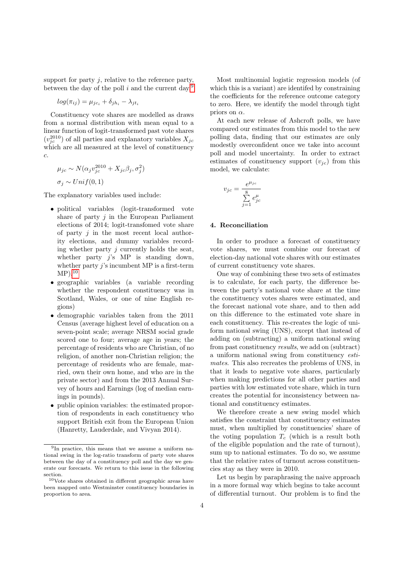support for party  $i$ , relative to the reference party, between the day of the poll i and the current day.<sup>[9](#page-4-0)</sup>

$$
log(\pi_{ij}) = \mu_{jc_i} + \delta_{jh_i} - \lambda_{jt_i}
$$

Constituency vote shares are modelled as draws from a normal distribution with mean equal to a linear function of logit-transformed past vote shares  $(v_{jc}^{2010})$  of all parties and explanatory variables  $X_{jc}$ which are all measured at the level of constituency c.

$$
\mu_{jc} \sim N(\alpha_j v_{jc}^{2010} + X_{jc}\beta_j, \sigma_j^2)
$$
  

$$
\sigma_j \sim Unif(0, 1)
$$

The explanatory variables used include:

- political variables (logit-transformed vote share of party  $j$  in the European Parliament elections of 2014; logit-transfomed vote share of party  $j$  in the most recent local authority elections, and dummy variables recording whether party j currently holds the seat, whether party  $i$ 's MP is standing down, whether party  $j$ 's incumbent MP is a first-term  $MP$ ).<sup>[10](#page-4-1)</sup>
- geographic variables (a variable recording whether the respondent constituency was in Scotland, Wales, or one of nine English regions)
- demographic variables taken from the 2011 Census (average highest level of education on a seven-point scale; average NRSM social grade scored one to four; average age in years; the percentage of residents who are Christian, of no religion, of another non-Christian religion; the percentage of residents who are female, married, own their own home, and who are in the private sector) and from the 2013 Annual Survey of hours and Earnings (log of median earnings in pounds).
- public opinion variables: the estimated proportion of respondents in each constituency who support British exit from the European Union (Hanretty, Lauderdale, and Vivyan 2014).

Most multinomial logistic regression models (of which this is a variant) are identifed by constraining the coefficients for the reference outcome category to zero. Here, we identify the model through tight priors on  $\alpha$ .

At each new release of Ashcroft polls, we have compared our estimates from this model to the new polling data, finding that our estimates are only modestly overconfident once we take into account poll and model uncertainty. In order to extract estimates of constituency support  $(v_{ic})$  from this model, we calculate:

$$
v_{jc} = \frac{e^{\mu_{jc}}}{\sum\limits_{j=1}^{8} e^{\mu}_{jc}}
$$

### 4. Reconciliation

In order to produce a forecast of constituency vote shares, we must combine our forecast of election-day national vote shares with our estimates of current constituency vote shares.

One way of combining these two sets of estimates is to calculate, for each party, the difference between the party's national vote share at the time the constituency votes shares were estimated, and the forecast national vote share, and to then add on this difference to the estimated vote share in each constituency. This re-creates the logic of uniform national swing (UNS), except that instead of adding on (subtracting) a uniform national swing from past constituency results, we add on (subtract) a uniform national swing from constituency estimates. This also recreates the problems of UNS, in that it leads to negative vote shares, particularly when making predictions for all other parties and parties with low estimated vote share, which in turn creates the potential for inconsistency between national and constituency estimates.

We therefore create a new swing model which satisfies the constraint that constituency estimates must, when multiplied by constituencies' share of the voting population  $T_c$  (which is a result both of the eligible population and the rate of turnout), sum up to national estimates. To do so, we assume that the relative rates of turnout across constituencies stay as they were in 2010.

Let us begin by paraphrasing the naive approach in a more formal way which begins to take account of differential turnout. Our problem is to find the

<span id="page-4-0"></span><sup>&</sup>lt;sup>9</sup>In practice, this means that we assume a uniform national swing in the log-ratio transform of party vote shares between the day of a constituency poll and the day we generate our forecasts. We return to this issue in the following section.

<span id="page-4-1"></span> $\rm ^{10}Vote$  shares obtained in different geographic areas have been mapped onto Westminster constituency boundaries in proportion to area.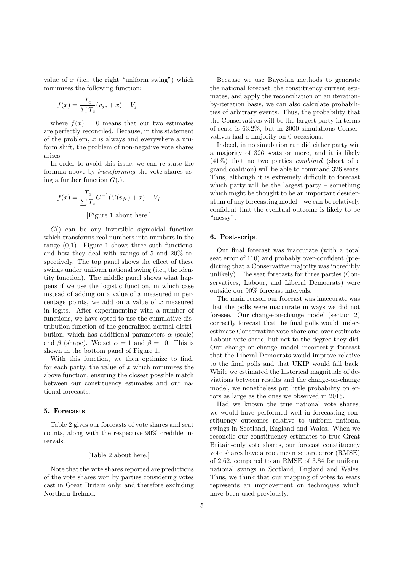value of  $x$  (i.e., the right "uniform swing") which minimizes the following function:

$$
f(x) = \frac{T_c}{\sum T_c} (v_{jc} + x) - V_j
$$

where  $f(x) = 0$  means that our two estimates are perfectly reconciled. Because, in this statement of the problem,  $x$  is always and everywhere a uniform shift, the problem of non-negative vote shares arises.

In order to avoid this issue, we can re-state the formula above by transforming the vote shares using a further function  $G(.)$ .

$$
f(x) = \frac{T_c}{\sum T_c} G^{-1}(G(v_{jc}) + x) - V_j
$$

[Figure 1 about here.]

 $G()$  can be any invertible sigmoidal function which transforms real numbers into numbers in the range  $(0,1)$ . Figure 1 shows three such functions, and how they deal with swings of 5 and 20% respectively. The top panel shows the effect of these swings under uniform national swing (i.e., the identity function). The middle panel shows what happens if we use the logistic function, in which case instead of adding on a value of  $x$  measured in percentage points, we add on a value of  $x$  measured in logits. After experimenting with a number of functions, we have opted to use the cumulative distribution function of the generalized normal distribution, which has additional parameters  $\alpha$  (scale) and  $\beta$  (shape). We set  $\alpha = 1$  and  $\beta = 10$ . This is shown in the bottom panel of Figure 1.

With this function, we then optimize to find, for each party, the value of  $x$  which minimizes the above function, ensuring the closest possible match between our constituency estimates and our national forecasts.

### 5. Forecasts

Table 2 gives our forecasts of vote shares and seat counts, along with the respective 90% credible intervals.

#### [Table 2 about here.]

Note that the vote shares reported are predictions of the vote shares won by parties considering votes cast in Great Britain only, and therefore excluding Northern Ireland.

Because we use Bayesian methods to generate the national forecast, the constituency current estimates, and apply the reconciliation on an iterationby-iteration basis, we can also calculate probabilities of arbitrary events. Thus, the probability that the Conservatives will be the largest party in terms of seats is 63.2%, but in 2000 simulations Conservatives had a majority on 0 occasions.

Indeed, in no simulation run did either party win a majority of 326 seats or more, and it is likely (41%) that no two parties combined (short of a grand coalition) will be able to command 326 seats. Thus, although it is extremely difficult to forecast which party will be the largest party – something which might be thought to be an important desideratum of any forecasting model – we can be relatively confident that the eventual outcome is likely to be "messy".

### 6. Post-script

Our final forecast was inaccurate (with a total seat error of 110) and probably over-confident (predicting that a Conservative majority was incredibly unlikely). The seat forecasts for three parties (Conservatives, Labour, and Liberal Democrats) were outside our 90% forecast intervals.

The main reason our forecast was inaccurate was that the polls were inaccurate in ways we did not foresee. Our change-on-change model (section 2) correctly forecast that the final polls would underestimate Conservative vote share and over-estimate Labour vote share, but not to the degree they did. Our change-on-change model incorrectly forecast that the Liberal Democrats would improve relative to the final polls and that UKIP would fall back. While we estimated the historical magnitude of deviations between results and the change-on-change model, we nonetheless put little probability on errors as large as the ones we observed in 2015.

Had we known the true national vote shares, we would have performed well in forecasting constituency outcomes relative to uniform national swings in Scotland, England and Wales. When we reconcile our constituency estimates to true Great Britain-only vote shares, our forecast constituency vote shares have a root mean square error (RMSE) of 2.62, compared to an RMSE of 3.84 for uniform national swings in Scotland, England and Wales. Thus, we think that our mapping of votes to seats represents an improvement on techniques which have been used previously.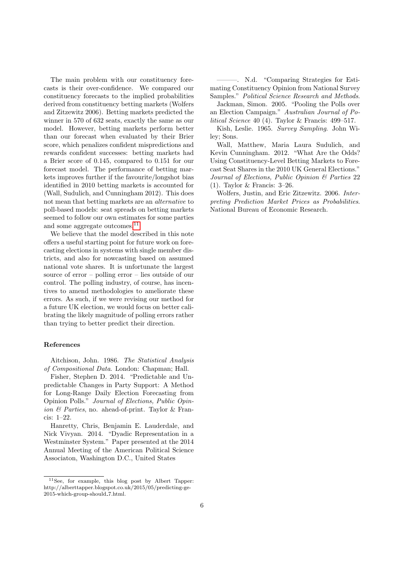The main problem with our constituency forecasts is their over-confidence. We compared our constituency forecasts to the implied probabilities derived from constituency betting markets (Wolfers and Zitzewitz 2006). Betting markets predicted the winner in 570 of 632 seats, exactly the same as our model. However, betting markets perform better than our forecast when evaluated by their Brier score, which penalizes confident mispredictions and rewards confident successes: betting markets had a Brier score of 0.145, compared to 0.151 for our forecast model. The performance of betting markets improves further if the favourite/longshot bias identified in 2010 betting markets is accounted for (Wall, Sudulich, and Cunningham 2012). This does not mean that betting markets are an alternative to poll-based models: seat spreads on betting markets seemed to follow our own estimates for some parties and some aggregate outcomes.<sup>[11](#page-6-0)</sup>

We believe that the model described in this note offers a useful starting point for future work on forecasting elections in systems with single member districts, and also for nowcasting based on assumed national vote shares. It is unfortunate the largest source of error – polling error – lies outside of our control. The polling industry, of course, has incentives to amend methodologies to ameliorate these errors. As such, if we were revising our method for a future UK election, we would focus on better calibrating the likely magnitude of polling errors rather than trying to better predict their direction.

#### References

Aitchison, John. 1986. The Statistical Analysis of Compositional Data. London: Chapman; Hall.

Fisher, Stephen D. 2014. "Predictable and Unpredictable Changes in Party Support: A Method for Long-Range Daily Election Forecasting from Opinion Polls." Journal of Elections, Public Opinion & Parties, no. ahead-of-print. Taylor & Francis: 1–22.

Hanretty, Chris, Benjamin E. Lauderdale, and Nick Vivyan. 2014. "Dyadic Representation in a Westminster System." Paper presented at the 2014 Annual Meeting of the American Political Science Associaton, Washington D.C., United States

———. N.d. "Comparing Strategies for Estimating Constituency Opinion from National Survey Samples." Political Science Research and Methods.

Jackman, Simon. 2005. "Pooling the Polls over an Election Campaign." Australian Journal of Political Science 40 (4). Taylor & Francis: 499–517.

Kish, Leslie. 1965. Survey Sampling. John Wiley; Sons.

Wall, Matthew, Maria Laura Sudulich, and Kevin Cunningham. 2012. "What Are the Odds? Using Constituency-Level Betting Markets to Forecast Seat Shares in the 2010 UK General Elections." Journal of Elections, Public Opinion & Parties 22 (1). Taylor & Francis: 3–26.

Wolfers, Justin, and Eric Zitzewitz. 2006. Interpreting Prediction Market Prices as Probabilities. National Bureau of Economic Research.

<span id="page-6-0"></span><sup>11</sup>See, for example, this blog post by Albert Tapper: http://alberttapper.blogspot.co.uk/2015/05/predicting-ge-2015-which-group-should 7.html.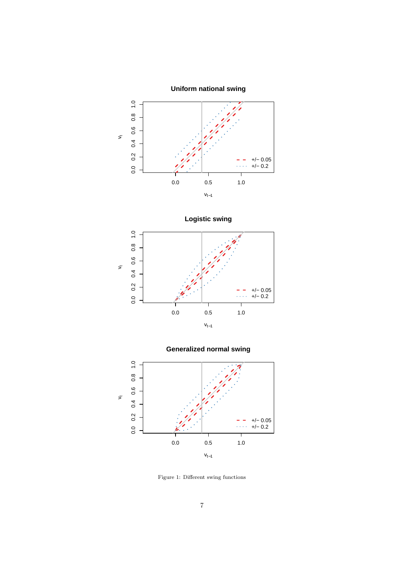







Figure 1: Different swing functions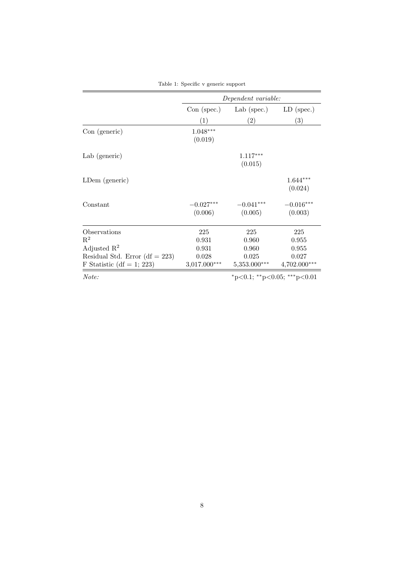|                                   | Dependent variable:         |                        |                        |  |  |  |
|-----------------------------------|-----------------------------|------------------------|------------------------|--|--|--|
|                                   | $Con$ (spec.)               | Lab (spec.)            | $LD$ (spec.)           |  |  |  |
|                                   | (1)                         | (2)                    | $\left( 3\right)$      |  |  |  |
| Con(generate)                     | $1.048***$<br>(0.019)       |                        |                        |  |  |  |
| Lab (generic)                     |                             | $1.117***$<br>(0.015)  |                        |  |  |  |
| LDem (generic)                    |                             |                        | $1.644***$<br>(0.024)  |  |  |  |
| Constant                          | $-0.027***$<br>(0.006)      | $-0.041***$<br>(0.005) | $-0.016***$<br>(0.003) |  |  |  |
| Observations                      | 225                         | 225                    | 225                    |  |  |  |
| $\mathbf{R}^2$                    | 0.931                       | 0.960                  | 0.955                  |  |  |  |
| Adjusted $\mathbb{R}^2$           | 0.931                       | 0.960                  | 0.955                  |  |  |  |
| Residual Std. Error (df $= 223$ ) | 0.028                       | 0.025                  | 0.027                  |  |  |  |
| F Statistic (df = 1; 223)         | $3,017.000***$              | $5,353.000***$         | $4,702.000***$         |  |  |  |
| Note:                             | *p<0.1; **p<0.05; ***p<0.01 |                        |                        |  |  |  |

Table 1: Specific v generic support

8